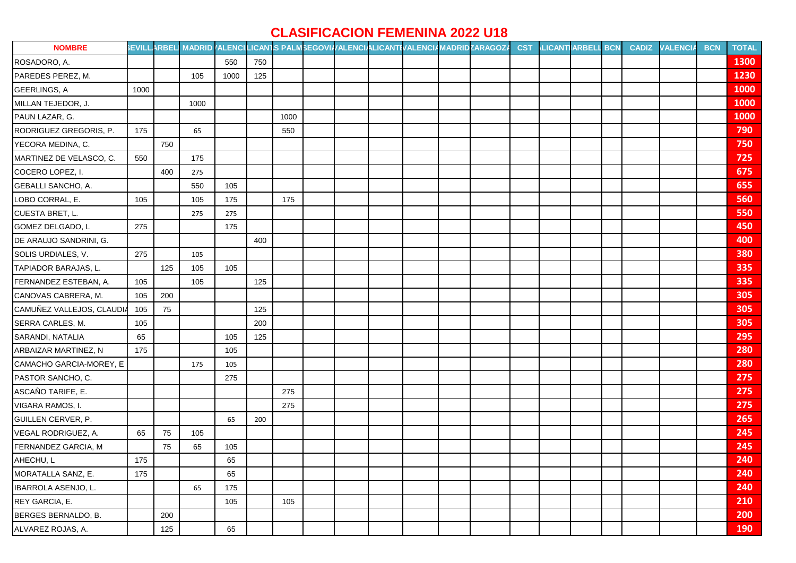## **CLASIFICACION FEMENINA 2022 U18**

| <b>NOMBRE</b>             | <b>SEVILLARBEL</b> |     |      |      |     |      |  |  | MADRID /ALENCILICANTIS PALMSEGOVIA/ALENCIALICANTIVALENCIAMADRIDZARAGOZA | <b>CST</b> | <b>ILICANTIARBELL BCN</b> |  | <b>CADIZ</b> | <b>VALENCIA</b> | <b>BCN</b> | <b>TOTAL</b> |
|---------------------------|--------------------|-----|------|------|-----|------|--|--|-------------------------------------------------------------------------|------------|---------------------------|--|--------------|-----------------|------------|--------------|
| ROSADORO, A.              |                    |     |      | 550  | 750 |      |  |  |                                                                         |            |                           |  |              |                 |            | 1300         |
| PAREDES PEREZ, M.         |                    |     | 105  | 1000 | 125 |      |  |  |                                                                         |            |                           |  |              |                 |            | 1230         |
| <b>GEERLINGS, A</b>       | 1000               |     |      |      |     |      |  |  |                                                                         |            |                           |  |              |                 |            | 1000         |
| MILLAN TEJEDOR, J.        |                    |     | 1000 |      |     |      |  |  |                                                                         |            |                           |  |              |                 |            | 1000         |
| PAUN LAZAR, G.            |                    |     |      |      |     | 1000 |  |  |                                                                         |            |                           |  |              |                 |            | 1000         |
| RODRIGUEZ GREGORIS, P.    | 175                |     | 65   |      |     | 550  |  |  |                                                                         |            |                           |  |              |                 |            | 790          |
| YECORA MEDINA, C.         |                    | 750 |      |      |     |      |  |  |                                                                         |            |                           |  |              |                 |            | 750          |
| MARTINEZ DE VELASCO, C.   | 550                |     | 175  |      |     |      |  |  |                                                                         |            |                           |  |              |                 |            | 725          |
| COCERO LOPEZ, I.          |                    | 400 | 275  |      |     |      |  |  |                                                                         |            |                           |  |              |                 |            | 675          |
| GEBALLI SANCHO, A.        |                    |     | 550  | 105  |     |      |  |  |                                                                         |            |                           |  |              |                 |            | 655          |
| LOBO CORRAL, E.           | 105                |     | 105  | 175  |     | 175  |  |  |                                                                         |            |                           |  |              |                 |            | 560          |
| CUESTA BRET, L.           |                    |     | 275  | 275  |     |      |  |  |                                                                         |            |                           |  |              |                 |            | 550          |
| GOMEZ DELGADO, L          | 275                |     |      | 175  |     |      |  |  |                                                                         |            |                           |  |              |                 |            | 450          |
| DE ARAUJO SANDRINI, G.    |                    |     |      |      | 400 |      |  |  |                                                                         |            |                           |  |              |                 |            | 400          |
| SOLIS URDIALES, V.        | 275                |     | 105  |      |     |      |  |  |                                                                         |            |                           |  |              |                 |            | 380          |
| TAPIADOR BARAJAS, L.      |                    | 125 | 105  | 105  |     |      |  |  |                                                                         |            |                           |  |              |                 |            | 335          |
| FERNANDEZ ESTEBAN, A.     | 105                |     | 105  |      | 125 |      |  |  |                                                                         |            |                           |  |              |                 |            | 335          |
| CANOVAS CABRERA, M.       | 105                | 200 |      |      |     |      |  |  |                                                                         |            |                           |  |              |                 |            | 305          |
| CAMUÑEZ VALLEJOS, CLAUDIA | 105                | 75  |      |      | 125 |      |  |  |                                                                         |            |                           |  |              |                 |            | 305          |
| SERRA CARLES, M.          | 105                |     |      |      | 200 |      |  |  |                                                                         |            |                           |  |              |                 |            | 305          |
| SARANDI, NATALIA          | 65                 |     |      | 105  | 125 |      |  |  |                                                                         |            |                           |  |              |                 |            | 295          |
| ARBAIZAR MARTINEZ, N      | 175                |     |      | 105  |     |      |  |  |                                                                         |            |                           |  |              |                 |            | 280          |
| CAMACHO GARCIA-MOREY, E   |                    |     | 175  | 105  |     |      |  |  |                                                                         |            |                           |  |              |                 |            | 280          |
| PASTOR SANCHO, C.         |                    |     |      | 275  |     |      |  |  |                                                                         |            |                           |  |              |                 |            | 275          |
| ASCAÑO TARIFE, E.         |                    |     |      |      |     | 275  |  |  |                                                                         |            |                           |  |              |                 |            | 275          |
| VIGARA RAMOS, I.          |                    |     |      |      |     | 275  |  |  |                                                                         |            |                           |  |              |                 |            | 275          |
| <b>GUILLEN CERVER, P.</b> |                    |     |      | 65   | 200 |      |  |  |                                                                         |            |                           |  |              |                 |            | 265          |
| VEGAL RODRIGUEZ, A.       | 65                 | 75  | 105  |      |     |      |  |  |                                                                         |            |                           |  |              |                 |            | 245          |
| FERNANDEZ GARCIA, M       |                    | 75  | 65   | 105  |     |      |  |  |                                                                         |            |                           |  |              |                 |            | 245          |
| AHECHU, L                 | 175                |     |      | 65   |     |      |  |  |                                                                         |            |                           |  |              |                 |            | 240          |
| MORATALLA SANZ, E.        | 175                |     |      | 65   |     |      |  |  |                                                                         |            |                           |  |              |                 |            | 240          |
| IBARROLA ASENJO, L.       |                    |     | 65   | 175  |     |      |  |  |                                                                         |            |                           |  |              |                 |            | 240          |
| REY GARCIA, E.            |                    |     |      | 105  |     | 105  |  |  |                                                                         |            |                           |  |              |                 |            | 210          |
| BERGES BERNALDO, B.       |                    | 200 |      |      |     |      |  |  |                                                                         |            |                           |  |              |                 |            | 200          |
| ALVAREZ ROJAS, A.         |                    | 125 |      | 65   |     |      |  |  |                                                                         |            |                           |  |              |                 |            | <b>190</b>   |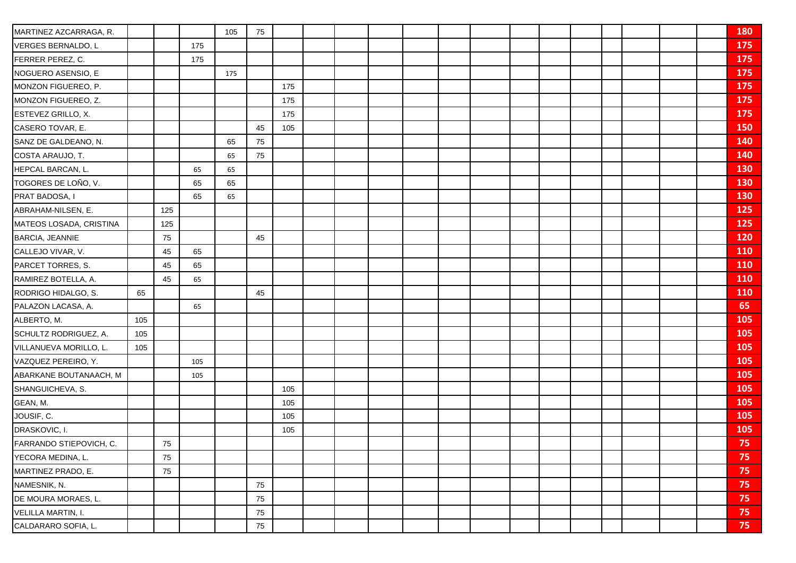| MARTINEZ AZCARRAGA, R.  |     |     |     | 105 | 75     |     |  |  |  |  |  |  | 180        |
|-------------------------|-----|-----|-----|-----|--------|-----|--|--|--|--|--|--|------------|
| VERGES BERNALDO, L      |     |     | 175 |     |        |     |  |  |  |  |  |  | 175        |
| FERRER PEREZ, C.        |     |     | 175 |     |        |     |  |  |  |  |  |  | <b>175</b> |
| NOGUERO ASENSIO, E      |     |     |     | 175 |        |     |  |  |  |  |  |  | 175        |
| MONZON FIGUEREO, P.     |     |     |     |     |        | 175 |  |  |  |  |  |  | 175        |
| MONZON FIGUEREO, Z.     |     |     |     |     |        | 175 |  |  |  |  |  |  | 175        |
| ESTEVEZ GRILLO, X.      |     |     |     |     |        | 175 |  |  |  |  |  |  | 175        |
| CASERO TOVAR, E.        |     |     |     |     | 45     | 105 |  |  |  |  |  |  | 150        |
| SANZ DE GALDEANO, N.    |     |     |     | 65  | 75     |     |  |  |  |  |  |  | 140        |
| COSTA ARAUJO, T.        |     |     |     | 65  | 75     |     |  |  |  |  |  |  | 140        |
| HEPCAL BARCAN, L.       |     |     | 65  | 65  |        |     |  |  |  |  |  |  | 130        |
| TOGORES DE LOÑO, V.     |     |     | 65  | 65  |        |     |  |  |  |  |  |  | 130        |
| PRAT BADOSA, I          |     |     | 65  | 65  |        |     |  |  |  |  |  |  | 130        |
| ABRAHAM-NILSEN, E.      |     | 125 |     |     |        |     |  |  |  |  |  |  | 125        |
| MATEOS LOSADA, CRISTINA |     | 125 |     |     |        |     |  |  |  |  |  |  | 125        |
| BARCIA, JEANNIE         |     | 75  |     |     | 45     |     |  |  |  |  |  |  | 120        |
| CALLEJO VIVAR, V.       |     | 45  | 65  |     |        |     |  |  |  |  |  |  | <b>110</b> |
| PARCET TORRES, S.       |     | 45  | 65  |     |        |     |  |  |  |  |  |  | 110        |
| RAMIREZ BOTELLA, A.     |     | 45  | 65  |     |        |     |  |  |  |  |  |  | 110        |
| RODRIGO HIDALGO, S.     | 65  |     |     |     | 45     |     |  |  |  |  |  |  | <b>110</b> |
| PALAZON LACASA, A.      |     |     | 65  |     |        |     |  |  |  |  |  |  | 65         |
| ALBERTO, M.             | 105 |     |     |     |        |     |  |  |  |  |  |  | 105        |
| SCHULTZ RODRIGUEZ, A.   | 105 |     |     |     |        |     |  |  |  |  |  |  | 105        |
| VILLANUEVA MORILLO, L.  | 105 |     |     |     |        |     |  |  |  |  |  |  | 105        |
| VAZQUEZ PEREIRO, Y.     |     |     | 105 |     |        |     |  |  |  |  |  |  | 105        |
| ABARKANE BOUTANAACH, M  |     |     | 105 |     |        |     |  |  |  |  |  |  | 105        |
| SHANGUICHEVA, S.        |     |     |     |     |        | 105 |  |  |  |  |  |  | 105        |
| GEAN, M.                |     |     |     |     |        | 105 |  |  |  |  |  |  | 105        |
| JOUSIF, C.              |     |     |     |     |        | 105 |  |  |  |  |  |  | 105        |
| DRASKOVIC, I.           |     |     |     |     |        | 105 |  |  |  |  |  |  | 105        |
| FARRANDO STIEPOVICH, C. |     | 75  |     |     |        |     |  |  |  |  |  |  | 75         |
| YECORA MEDINA, L.       |     | 75  |     |     |        |     |  |  |  |  |  |  | 75         |
| MARTINEZ PRADO, E.      |     | 75  |     |     |        |     |  |  |  |  |  |  | 75         |
| NAMESNIK, N.            |     |     |     |     | 75     |     |  |  |  |  |  |  | 75         |
| DE MOURA MORAES, L.     |     |     |     |     | $75\,$ |     |  |  |  |  |  |  | 75         |
| VELILLA MARTIN, I.      |     |     |     |     | 75     |     |  |  |  |  |  |  | 75         |
| CALDARARO SOFIA, L.     |     |     |     |     | 75     |     |  |  |  |  |  |  | 75         |